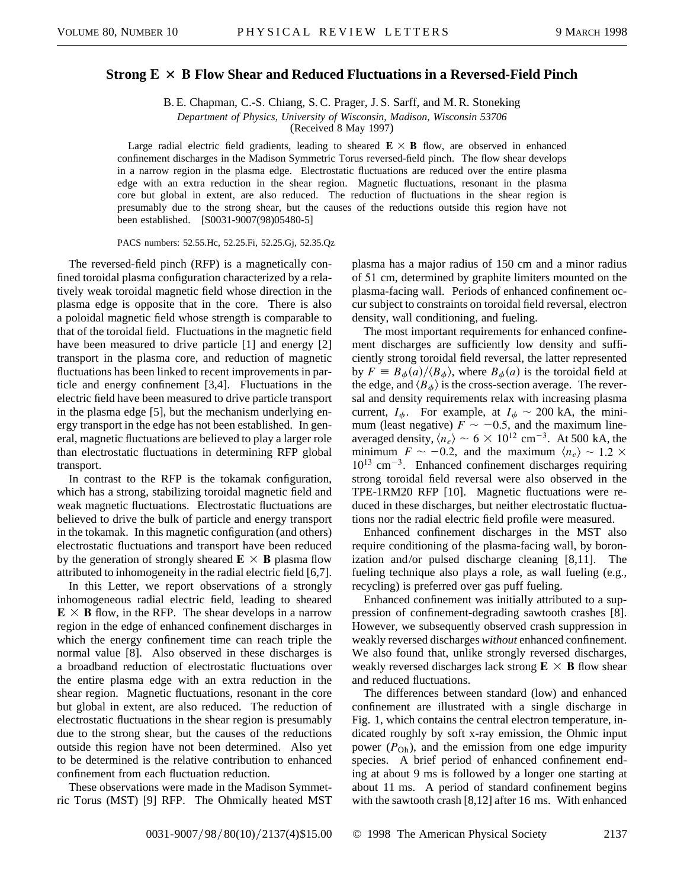## **Strong**  $E \times B$  **Flow Shear and Reduced Fluctuations in a Reversed-Field Pinch**

B. E. Chapman, C.-S. Chiang, S. C. Prager, J. S. Sarff, and M. R. Stoneking

*Department of Physics, University of Wisconsin, Madison, Wisconsin 53706*

(Received 8 May 1997)

Large radial electric field gradients, leading to sheared  $E \times B$  flow, are observed in enhanced confinement discharges in the Madison Symmetric Torus reversed-field pinch. The flow shear develops in a narrow region in the plasma edge. Electrostatic fluctuations are reduced over the entire plasma edge with an extra reduction in the shear region. Magnetic fluctuations, resonant in the plasma core but global in extent, are also reduced. The reduction of fluctuations in the shear region is presumably due to the strong shear, but the causes of the reductions outside this region have not been established. [S0031-9007(98)05480-5]

PACS numbers: 52.55.Hc, 52.25.Fi, 52.25.Gj, 52.35.Qz

The reversed-field pinch (RFP) is a magnetically confined toroidal plasma configuration characterized by a relatively weak toroidal magnetic field whose direction in the plasma edge is opposite that in the core. There is also a poloidal magnetic field whose strength is comparable to that of the toroidal field. Fluctuations in the magnetic field have been measured to drive particle [1] and energy [2] transport in the plasma core, and reduction of magnetic fluctuations has been linked to recent improvements in particle and energy confinement [3,4]. Fluctuations in the electric field have been measured to drive particle transport in the plasma edge [5], but the mechanism underlying energy transport in the edge has not been established. In general, magnetic fluctuations are believed to play a larger role than electrostatic fluctuations in determining RFP global transport.

In contrast to the RFP is the tokamak configuration, which has a strong, stabilizing toroidal magnetic field and weak magnetic fluctuations. Electrostatic fluctuations are believed to drive the bulk of particle and energy transport in the tokamak. In this magnetic configuration (and others) electrostatic fluctuations and transport have been reduced by the generation of strongly sheared  $\mathbf{E} \times \mathbf{B}$  plasma flow attributed to inhomogeneity in the radial electric field [6,7].

In this Letter, we report observations of a strongly inhomogeneous radial electric field, leading to sheared  $\mathbf{E} \times \mathbf{B}$  flow, in the RFP. The shear develops in a narrow region in the edge of enhanced confinement discharges in which the energy confinement time can reach triple the normal value [8]. Also observed in these discharges is a broadband reduction of electrostatic fluctuations over the entire plasma edge with an extra reduction in the shear region. Magnetic fluctuations, resonant in the core but global in extent, are also reduced. The reduction of electrostatic fluctuations in the shear region is presumably due to the strong shear, but the causes of the reductions outside this region have not been determined. Also yet to be determined is the relative contribution to enhanced confinement from each fluctuation reduction.

These observations were made in the Madison Symmetric Torus (MST) [9] RFP. The Ohmically heated MST plasma has a major radius of 150 cm and a minor radius of 51 cm, determined by graphite limiters mounted on the plasma-facing wall. Periods of enhanced confinement occur subject to constraints on toroidal field reversal, electron density, wall conditioning, and fueling.

The most important requirements for enhanced confinement discharges are sufficiently low density and sufficiently strong toroidal field reversal, the latter represented by  $F = B_{\phi}(a)/\langle B_{\phi} \rangle$ , where  $B_{\phi}(a)$  is the toroidal field at the edge, and  $\langle B_{\phi} \rangle$  is the cross-section average. The reversal and density requirements relax with increasing plasma current,  $I_{\phi}$ . For example, at  $I_{\phi} \sim 200$  kA, the minimum (least negative)  $F \sim -0.5$ , and the maximum lineaveraged density,  $\langle n_e \rangle \sim 6 \times 10^{12}$  cm<sup>-3</sup>. At 500 kA, the minimum  $F \sim -0.2$ , and the maximum  $\langle n_e \rangle \sim 1.2 \times$  $10^{13}$  cm<sup>-3</sup>. Enhanced confinement discharges requiring strong toroidal field reversal were also observed in the TPE-1RM20 RFP [10]. Magnetic fluctuations were reduced in these discharges, but neither electrostatic fluctuations nor the radial electric field profile were measured.

Enhanced confinement discharges in the MST also require conditioning of the plasma-facing wall, by boronization and/or pulsed discharge cleaning [8,11]. The fueling technique also plays a role, as wall fueling (e.g., recycling) is preferred over gas puff fueling.

Enhanced confinement was initially attributed to a suppression of confinement-degrading sawtooth crashes [8]. However, we subsequently observed crash suppression in weakly reversed discharges *without* enhanced confinement. We also found that, unlike strongly reversed discharges, weakly reversed discharges lack strong  $E \times B$  flow shear and reduced fluctuations.

The differences between standard (low) and enhanced confinement are illustrated with a single discharge in Fig. 1, which contains the central electron temperature, indicated roughly by soft x-ray emission, the Ohmic input power  $(P<sub>Oh</sub>)$ , and the emission from one edge impurity species. A brief period of enhanced confinement ending at about 9 ms is followed by a longer one starting at about 11 ms. A period of standard confinement begins with the sawtooth crash [8,12] after 16 ms. With enhanced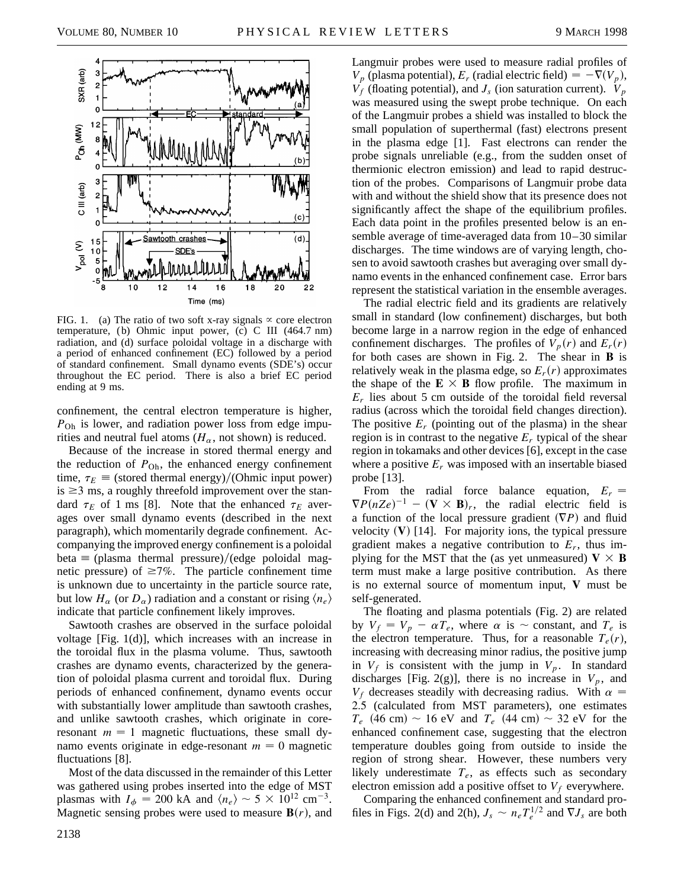

FIG. 1. (a) The ratio of two soft x-ray signals  $\propto$  core electron temperature, (b) Ohmic input power, (c) C III (464.7 nm) radiation, and (d) surface poloidal voltage in a discharge with a period of enhanced confinement (EC) followed by a period of standard confinement. Small dynamo events (SDE's) occur throughout the EC period. There is also a brief EC period ending at 9 ms.

confinement, the central electron temperature is higher, *P*Oh is lower, and radiation power loss from edge impurities and neutral fuel atoms ( $H_{\alpha}$ , not shown) is reduced.

Because of the increase in stored thermal energy and the reduction of  $P_{\text{Oh}}$ , the enhanced energy confinement time,  $\tau_E \equiv$  (stored thermal energy)/(Ohmic input power) is  $\geq$ 3 ms, a roughly threefold improvement over the standard  $\tau_E$  of 1 ms [8]. Note that the enhanced  $\tau_E$  averages over small dynamo events (described in the next paragraph), which momentarily degrade confinement. Accompanying the improved energy confinement is a poloidal beta  $\equiv$  (plasma thermal pressure)/(edge poloidal magnetic pressure) of  $\geq 7\%$ . The particle confinement time is unknown due to uncertainty in the particle source rate, but low  $H_{\alpha}$  (or  $D_{\alpha}$ ) radiation and a constant or rising  $\langle n_e \rangle$ indicate that particle confinement likely improves.

Sawtooth crashes are observed in the surface poloidal voltage [Fig. 1(d)], which increases with an increase in the toroidal flux in the plasma volume. Thus, sawtooth crashes are dynamo events, characterized by the generation of poloidal plasma current and toroidal flux. During periods of enhanced confinement, dynamo events occur with substantially lower amplitude than sawtooth crashes, and unlike sawtooth crashes, which originate in coreresonant  $m = 1$  magnetic fluctuations, these small dynamo events originate in edge-resonant  $m = 0$  magnetic fluctuations [8].

Most of the data discussed in the remainder of this Letter was gathered using probes inserted into the edge of MST plasmas with  $I_{\phi} = 200$  kA and  $\langle n_e \rangle \sim 5 \times 10^{12}$  cm<sup>-3</sup>. Magnetic sensing probes were used to measure  $\mathbf{B}(r)$ , and

Langmuir probes were used to measure radial profiles of  $V_p$  (plasma potential),  $E_r$  (radial electric field)  $= -\nabla(V_p)$ ,  $V_f$  (floating potential), and  $J_s$  (ion saturation current).  $V_p$ was measured using the swept probe technique. On each of the Langmuir probes a shield was installed to block the small population of superthermal (fast) electrons present in the plasma edge [1]. Fast electrons can render the probe signals unreliable (e.g., from the sudden onset of thermionic electron emission) and lead to rapid destruction of the probes. Comparisons of Langmuir probe data with and without the shield show that its presence does not significantly affect the shape of the equilibrium profiles. Each data point in the profiles presented below is an ensemble average of time-averaged data from 10–30 similar discharges. The time windows are of varying length, chosen to avoid sawtooth crashes but averaging over small dynamo events in the enhanced confinement case. Error bars represent the statistical variation in the ensemble averages.

The radial electric field and its gradients are relatively small in standard (low confinement) discharges, but both become large in a narrow region in the edge of enhanced confinement discharges. The profiles of  $V_p(r)$  and  $E_r(r)$ for both cases are shown in Fig. 2. The shear in **B** is relatively weak in the plasma edge, so  $E_r(r)$  approximates the shape of the  $E \times B$  flow profile. The maximum in  $E_r$  lies about 5 cm outside of the toroidal field reversal radius (across which the toroidal field changes direction). The positive  $E_r$  (pointing out of the plasma) in the shear region is in contrast to the negative *Er* typical of the shear region in tokamaks and other devices [6], except in the case where a positive  $E_r$  was imposed with an insertable biased probe [13].

From the radial force balance equation,  $E_r =$  $\nabla P(nZe)^{-1} - (\mathbf{V} \times \mathbf{B})_r$ , the radial electric field is a function of the local pressure gradient  $(\nabla P)$  and fluid velocity  $(V)$  [14]. For majority ions, the typical pressure gradient makes a negative contribution to  $E_r$ , thus implying for the MST that the (as yet unmeasured)  $V \times B$ term must make a large positive contribution. As there is no external source of momentum input, **V** must be self-generated.

The floating and plasma potentials (Fig. 2) are related by  $V_f = V_p - \alpha T_e$ , where  $\alpha$  is  $\sim$  constant, and  $T_e$  is the electron temperature. Thus, for a reasonable  $T_e(r)$ , increasing with decreasing minor radius, the positive jump in  $V_f$  is consistent with the jump in  $V_p$ . In standard discharges [Fig. 2(g)], there is no increase in  $V_p$ , and  $V_f$  decreases steadily with decreasing radius. With  $\alpha =$ 2.5 (calculated from MST parameters), one estimates  $T_e$  (46 cm)  $\sim$  16 eV and  $T_e$  (44 cm)  $\sim$  32 eV for the enhanced confinement case, suggesting that the electron temperature doubles going from outside to inside the region of strong shear. However, these numbers very likely underestimate  $T_e$ , as effects such as secondary electron emission add a positive offset to  $V_f$  everywhere.

Comparing the enhanced confinement and standard profiles in Figs. 2(d) and 2(h),  $J_s \sim n_e T_e^{1/2}$  and  $\nabla J_s$  are both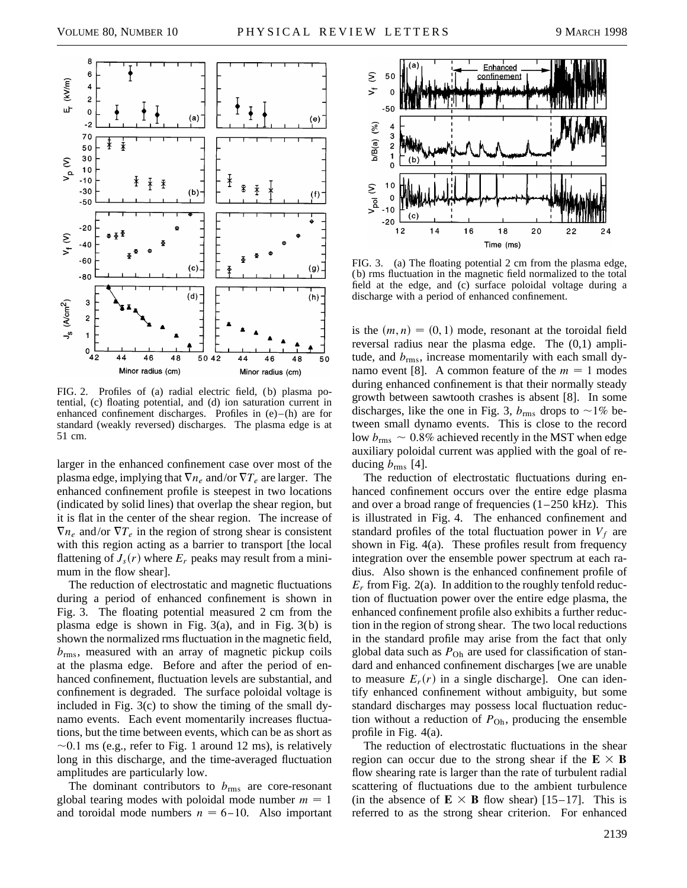

FIG. 2. Profiles of (a) radial electric field, (b) plasma potential, (c) floating potential, and (d) ion saturation current in enhanced confinement discharges. Profiles in  $(e)$ – $(h)$  are for standard (weakly reversed) discharges. The plasma edge is at 51 cm.

larger in the enhanced confinement case over most of the plasma edge, implying that  $\nabla n_e$  and/or  $\nabla T_e$  are larger. The enhanced confinement profile is steepest in two locations (indicated by solid lines) that overlap the shear region, but it is flat in the center of the shear region. The increase of  $\nabla n_e$  and/or  $\nabla T_e$  in the region of strong shear is consistent with this region acting as a barrier to transport [the local flattening of  $J_s(r)$  where  $E_r$  peaks may result from a minimum in the flow shear].

The reduction of electrostatic and magnetic fluctuations during a period of enhanced confinement is shown in Fig. 3. The floating potential measured 2 cm from the plasma edge is shown in Fig.  $3(a)$ , and in Fig.  $3(b)$  is shown the normalized rms fluctuation in the magnetic field, *b*rms, measured with an array of magnetic pickup coils at the plasma edge. Before and after the period of enhanced confinement, fluctuation levels are substantial, and confinement is degraded. The surface poloidal voltage is included in Fig. 3(c) to show the timing of the small dynamo events. Each event momentarily increases fluctuations, but the time between events, which can be as short as  $\sim$ 0.1 ms (e.g., refer to Fig. 1 around 12 ms), is relatively long in this discharge, and the time-averaged fluctuation amplitudes are particularly low.

The dominant contributors to  $b_{\text{rms}}$  are core-resonant global tearing modes with poloidal mode number  $m = 1$ and toroidal mode numbers  $n = 6 - 10$ . Also important



FIG. 3. (a) The floating potential 2 cm from the plasma edge, (b) rms fluctuation in the magnetic field normalized to the total field at the edge, and (c) surface poloidal voltage during a discharge with a period of enhanced confinement.

is the  $(m, n) = (0, 1)$  mode, resonant at the toroidal field reversal radius near the plasma edge. The (0,1) amplitude, and *b*rms, increase momentarily with each small dynamo event [8]. A common feature of the  $m = 1$  modes during enhanced confinement is that their normally steady growth between sawtooth crashes is absent [8]. In some discharges, like the one in Fig. 3,  $b_{\text{rms}}$  drops to  $\sim$ 1% between small dynamo events. This is close to the record low  $b_{\rm rms} \sim 0.8\%$  achieved recently in the MST when edge auxiliary poloidal current was applied with the goal of reducing  $b_{\rm rms}$  [4].

The reduction of electrostatic fluctuations during enhanced confinement occurs over the entire edge plasma and over a broad range of frequencies  $(1-250 \text{ kHz})$ . This is illustrated in Fig. 4. The enhanced confinement and standard profiles of the total fluctuation power in  $V_f$  are shown in Fig. 4(a). These profiles result from frequency integration over the ensemble power spectrum at each radius. Also shown is the enhanced confinement profile of  $E_r$  from Fig. 2(a). In addition to the roughly tenfold reduction of fluctuation power over the entire edge plasma, the enhanced confinement profile also exhibits a further reduction in the region of strong shear. The two local reductions in the standard profile may arise from the fact that only global data such as  $P_{\text{Oh}}$  are used for classification of standard and enhanced confinement discharges [we are unable to measure  $E_r(r)$  in a single discharge]. One can identify enhanced confinement without ambiguity, but some standard discharges may possess local fluctuation reduction without a reduction of  $P_{\text{Oh}}$ , producing the ensemble profile in Fig. 4(a).

The reduction of electrostatic fluctuations in the shear region can occur due to the strong shear if the  $E \times B$ flow shearing rate is larger than the rate of turbulent radial scattering of fluctuations due to the ambient turbulence (in the absence of  $\mathbf{E} \times \mathbf{B}$  flow shear) [15–17]. This is referred to as the strong shear criterion. For enhanced